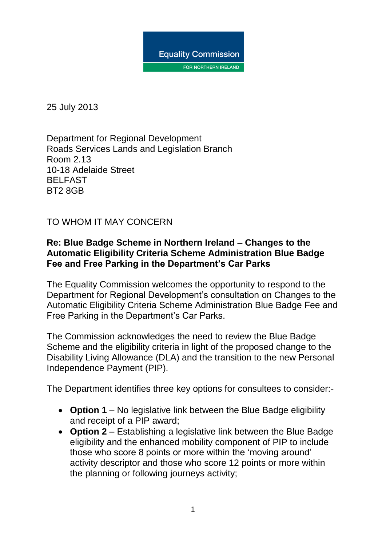

25 July 2013

Department for Regional Development Roads Services Lands and Legislation Branch Room 2.13 10-18 Adelaide Street BELFAST BT2 8GB

TO WHOM IT MAY CONCERN

#### **Re: Blue Badge Scheme in Northern Ireland – Changes to the Automatic Eligibility Criteria Scheme Administration Blue Badge Fee and Free Parking in the Department's Car Parks**

The Equality Commission welcomes the opportunity to respond to the Department for Regional Development's consultation on Changes to the Automatic Eligibility Criteria Scheme Administration Blue Badge Fee and Free Parking in the Department's Car Parks.

The Commission acknowledges the need to review the Blue Badge Scheme and the eligibility criteria in light of the proposed change to the Disability Living Allowance (DLA) and the transition to the new Personal Independence Payment (PIP).

The Department identifies three key options for consultees to consider:-

- **Option 1** No legislative link between the Blue Badge eligibility and receipt of a PIP award;
- **Option 2** Establishing a legislative link between the Blue Badge eligibility and the enhanced mobility component of PIP to include those who score 8 points or more within the 'moving around' activity descriptor and those who score 12 points or more within the planning or following journeys activity;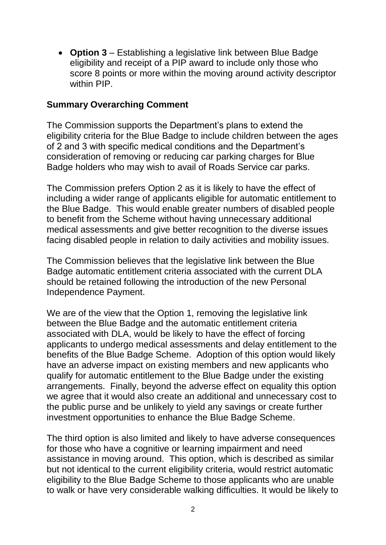**Option 3** – Establishing a legislative link between Blue Badge eligibility and receipt of a PIP award to include only those who score 8 points or more within the moving around activity descriptor within PIP

#### **Summary Overarching Comment**

The Commission supports the Department's plans to extend the eligibility criteria for the Blue Badge to include children between the ages of 2 and 3 with specific medical conditions and the Department's consideration of removing or reducing car parking charges for Blue Badge holders who may wish to avail of Roads Service car parks.

The Commission prefers Option 2 as it is likely to have the effect of including a wider range of applicants eligible for automatic entitlement to the Blue Badge. This would enable greater numbers of disabled people to benefit from the Scheme without having unnecessary additional medical assessments and give better recognition to the diverse issues facing disabled people in relation to daily activities and mobility issues.

The Commission believes that the legislative link between the Blue Badge automatic entitlement criteria associated with the current DLA should be retained following the introduction of the new Personal Independence Payment.

We are of the view that the Option 1, removing the legislative link between the Blue Badge and the automatic entitlement criteria associated with DLA, would be likely to have the effect of forcing applicants to undergo medical assessments and delay entitlement to the benefits of the Blue Badge Scheme. Adoption of this option would likely have an adverse impact on existing members and new applicants who qualify for automatic entitlement to the Blue Badge under the existing arrangements. Finally, beyond the adverse effect on equality this option we agree that it would also create an additional and unnecessary cost to the public purse and be unlikely to yield any savings or create further investment opportunities to enhance the Blue Badge Scheme.

The third option is also limited and likely to have adverse consequences for those who have a cognitive or learning impairment and need assistance in moving around. This option, which is described as similar but not identical to the current eligibility criteria, would restrict automatic eligibility to the Blue Badge Scheme to those applicants who are unable to walk or have very considerable walking difficulties. It would be likely to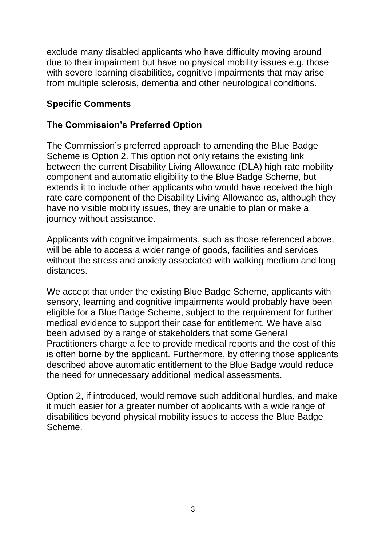exclude many disabled applicants who have difficulty moving around due to their impairment but have no physical mobility issues e.g. those with severe learning disabilities, cognitive impairments that may arise from multiple sclerosis, dementia and other neurological conditions.

### **Specific Comments**

### **The Commission's Preferred Option**

The Commission's preferred approach to amending the Blue Badge Scheme is Option 2. This option not only retains the existing link between the current Disability Living Allowance (DLA) high rate mobility component and automatic eligibility to the Blue Badge Scheme, but extends it to include other applicants who would have received the high rate care component of the Disability Living Allowance as, although they have no visible mobility issues, they are unable to plan or make a journey without assistance.

Applicants with cognitive impairments, such as those referenced above, will be able to access a wider range of goods, facilities and services without the stress and anxiety associated with walking medium and long distances.

We accept that under the existing Blue Badge Scheme, applicants with sensory, learning and cognitive impairments would probably have been eligible for a Blue Badge Scheme, subject to the requirement for further medical evidence to support their case for entitlement. We have also been advised by a range of stakeholders that some General Practitioners charge a fee to provide medical reports and the cost of this is often borne by the applicant. Furthermore, by offering those applicants described above automatic entitlement to the Blue Badge would reduce the need for unnecessary additional medical assessments.

Option 2, if introduced, would remove such additional hurdles, and make it much easier for a greater number of applicants with a wide range of disabilities beyond physical mobility issues to access the Blue Badge Scheme.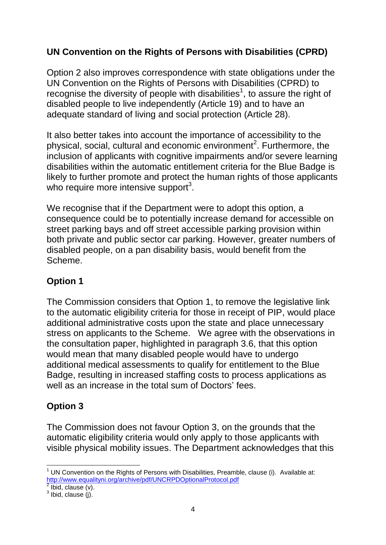# **UN Convention on the Rights of Persons with Disabilities (CPRD)**

Option 2 also improves correspondence with state obligations under the UN Convention on the Rights of Persons with Disabilities (CPRD) to recognise the diversity of people with disabilities<sup>1</sup>, to assure the right of disabled people to live independently (Article 19) and to have an adequate standard of living and social protection (Article 28).

It also better takes into account the importance of accessibility to the physical, social, cultural and economic environment<sup>2</sup>. Furthermore, the inclusion of applicants with cognitive impairments and/or severe learning disabilities within the automatic entitlement criteria for the Blue Badge is likely to further promote and protect the human rights of those applicants who require more intensive support $3$ .

We recognise that if the Department were to adopt this option, a consequence could be to potentially increase demand for accessible on street parking bays and off street accessible parking provision within both private and public sector car parking. However, greater numbers of disabled people, on a pan disability basis, would benefit from the Scheme.

## **Option 1**

The Commission considers that Option 1, to remove the legislative link to the automatic eligibility criteria for those in receipt of PIP, would place additional administrative costs upon the state and place unnecessary stress on applicants to the Scheme. We agree with the observations in the consultation paper, highlighted in paragraph 3.6, that this option would mean that many disabled people would have to undergo additional medical assessments to qualify for entitlement to the Blue Badge, resulting in increased staffing costs to process applications as well as an increase in the total sum of Doctors' fees.

# **Option 3**

The Commission does not favour Option 3, on the grounds that the automatic eligibility criteria would only apply to those applicants with visible physical mobility issues. The Department acknowledges that this

**<sup>.</sup>**  $<sup>1</sup>$  UN Convention on the Rights of Persons with Disabilities, Preamble, clause (i). Available at:</sup> <http://www.equalityni.org/archive/pdf/UNCRPDOptionalProtocol.pdf>

 $^2$  Ibid, clause (v).<br> $^3$  Ibid, clause (j).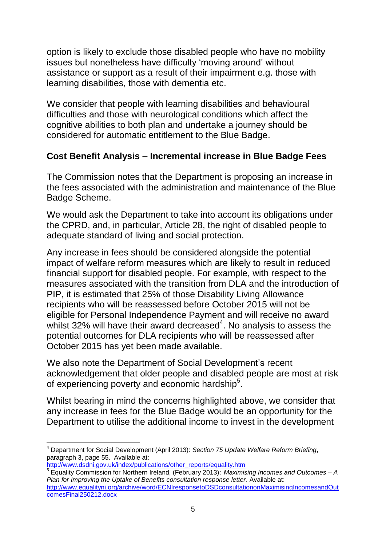option is likely to exclude those disabled people who have no mobility issues but nonetheless have difficulty 'moving around' without assistance or support as a result of their impairment e.g. those with learning disabilities, those with dementia etc.

We consider that people with learning disabilities and behavioural difficulties and those with neurological conditions which affect the cognitive abilities to both plan and undertake a journey should be considered for automatic entitlement to the Blue Badge.

### **Cost Benefit Analysis – Incremental increase in Blue Badge Fees**

The Commission notes that the Department is proposing an increase in the fees associated with the administration and maintenance of the Blue Badge Scheme.

We would ask the Department to take into account its obligations under the CPRD, and, in particular, Article 28, the right of disabled people to adequate standard of living and social protection.

Any increase in fees should be considered alongside the potential impact of welfare reform measures which are likely to result in reduced financial support for disabled people. For example, with respect to the measures associated with the transition from DLA and the introduction of PIP, it is estimated that 25% of those Disability Living Allowance recipients who will be reassessed before October 2015 will not be eligible for Personal Independence Payment and will receive no award whilst 32% will have their award decreased $4$ . No analysis to assess the potential outcomes for DLA recipients who will be reassessed after October 2015 has yet been made available.

We also note the Department of Social Development's recent acknowledgement that older people and disabled people are most at risk of experiencing poverty and economic hardship<sup>5</sup>.

Whilst bearing in mind the concerns highlighted above, we consider that any increase in fees for the Blue Badge would be an opportunity for the Department to utilise the additional income to invest in the development

 $\overline{\phantom{a}}$ <sup>4</sup> Department for Social Development (April 2013): *Section 75 Update Welfare Reform Briefing*, paragraph 3, page 55. Available at:

[http://www.dsdni.gov.uk/index/publications/other\\_reports/equality.htm](http://www.dsdni.gov.uk/index/publications/other_reports/equality.htm) 5 Equality Commission for Northern Ireland, (February 2013): *Maximising Incomes and Outcomes – A Plan for Improving the Uptake of Benefits consultation response letter*. Available at: [http://www.equalityni.org/archive/word/ECNIresponsetoDSDconsultationonMaximisingIncomesandOut](http://www.equalityni.org/archive/word/ECNIresponsetoDSDconsultationonMaximisingIncomesandOutcomesFinal250212.docx) [comesFinal250212.docx](http://www.equalityni.org/archive/word/ECNIresponsetoDSDconsultationonMaximisingIncomesandOutcomesFinal250212.docx)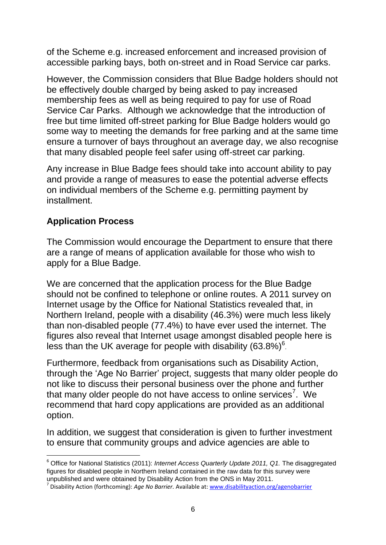of the Scheme e.g. increased enforcement and increased provision of accessible parking bays, both on-street and in Road Service car parks.

However, the Commission considers that Blue Badge holders should not be effectively double charged by being asked to pay increased membership fees as well as being required to pay for use of Road Service Car Parks. Although we acknowledge that the introduction of free but time limited off-street parking for Blue Badge holders would go some way to meeting the demands for free parking and at the same time ensure a turnover of bays throughout an average day, we also recognise that many disabled people feel safer using off-street car parking.

Any increase in Blue Badge fees should take into account ability to pay and provide a range of measures to ease the potential adverse effects on individual members of the Scheme e.g. permitting payment by installment.

# **Application Process**

**.** 

The Commission would encourage the Department to ensure that there are a range of means of application available for those who wish to apply for a Blue Badge.

We are concerned that the application process for the Blue Badge should not be confined to telephone or online routes. A 2011 survey on Internet usage by the Office for National Statistics revealed that, in Northern Ireland, people with a disability (46.3%) were much less likely than non-disabled people (77.4%) to have ever used the internet. The figures also reveal that Internet usage amongst disabled people here is less than the UK average for people with disability  $(63.8\%)^6$ .

Furthermore, feedback from organisations such as Disability Action, through the 'Age No Barrier' project, suggests that many older people do not like to discuss their personal business over the phone and further that many older people do not have access to online services<sup>7</sup>. We recommend that hard copy applications are provided as an additional option.

In addition, we suggest that consideration is given to further investment to ensure that community groups and advice agencies are able to

<sup>&</sup>lt;sup>6</sup> Office for National Statistics (2011): *Internet Access Quarterly Update 2011*, Q1. The disaggregated figures for disabled people in Northern Ireland contained in the raw data for this survey were unpublished and were obtained by Disability Action from the ONS in May 2011.

<sup>7</sup> Disability Action (forthcoming): *Age No Barrier.* Available at[: www.disabilityaction.org/agenobarrier](http://www.disabilityaction.org/agenobarrier)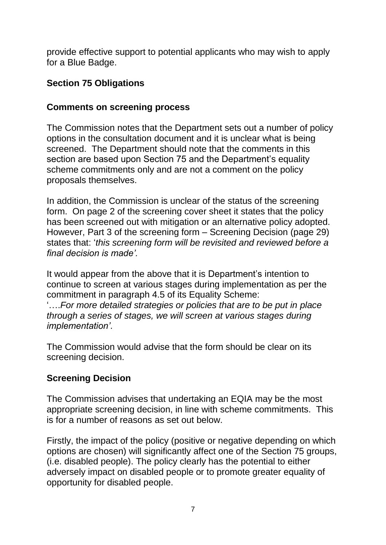provide effective support to potential applicants who may wish to apply for a Blue Badge.

## **Section 75 Obligations**

### **Comments on screening process**

The Commission notes that the Department sets out a number of policy options in the consultation document and it is unclear what is being screened. The Department should note that the comments in this section are based upon Section 75 and the Department's equality scheme commitments only and are not a comment on the policy proposals themselves.

In addition, the Commission is unclear of the status of the screening form. On page 2 of the screening cover sheet it states that the policy has been screened out with mitigation or an alternative policy adopted. However, Part 3 of the screening form – Screening Decision (page 29) states that: '*this screening form will be revisited and reviewed before a final decision is made'.*

It would appear from the above that it is Department's intention to continue to screen at various stages during implementation as per the commitment in paragraph 4.5 of its Equality Scheme: '….*For more detailed strategies or policies that are to be put in place through a series of stages, we will screen at various stages during implementation'*.

The Commission would advise that the form should be clear on its screening decision.

## **Screening Decision**

The Commission advises that undertaking an EQIA may be the most appropriate screening decision, in line with scheme commitments. This is for a number of reasons as set out below.

Firstly, the impact of the policy (positive or negative depending on which options are chosen) will significantly affect one of the Section 75 groups, (i.e. disabled people). The policy clearly has the potential to either adversely impact on disabled people or to promote greater equality of opportunity for disabled people.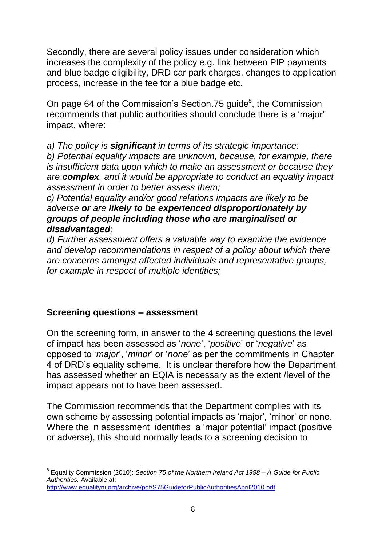Secondly, there are several policy issues under consideration which increases the complexity of the policy e.g. link between PIP payments and blue badge eligibility, DRD car park charges, changes to application process, increase in the fee for a blue badge etc.

On page 64 of the Commission's Section.75 guide ${}^{8}$ , the Commission recommends that public authorities should conclude there is a 'major' impact, where:

*a) The policy is significant in terms of its strategic importance;*

*b) Potential equality impacts are unknown, because, for example, there is insufficient data upon which to make an assessment or because they are complex, and it would be appropriate to conduct an equality impact assessment in order to better assess them;*

*c) Potential equality and/or good relations impacts are likely to be adverse or are likely to be experienced disproportionately by groups of people including those who are marginalised or disadvantaged;*

*d) Further assessment offers a valuable way to examine the evidence and develop recommendations in respect of a policy about which there are concerns amongst affected individuals and representative groups, for example in respect of multiple identities;*

#### **Screening questions – assessment**

On the screening form, in answer to the 4 screening questions the level of impact has been assessed as '*none*', '*positive*' or '*negative*' as opposed to '*major*', '*minor*' or '*none*' as per the commitments in Chapter 4 of DRD's equality scheme. It is unclear therefore how the Department has assessed whether an EQIA is necessary as the extent /level of the impact appears not to have been assessed.

The Commission recommends that the Department complies with its own scheme by assessing potential impacts as 'major', 'minor' or none. Where the n assessment identifies a 'major potential' impact (positive or adverse), this should normally leads to a screening decision to

 $\overline{\phantom{a}}$ 8 Equality Commission (2010): *Section 75 of the Northern Ireland Act 1998 – A Guide for Public Authorities.* Available at:

<http://www.equalityni.org/archive/pdf/S75GuideforPublicAuthoritiesApril2010.pdf>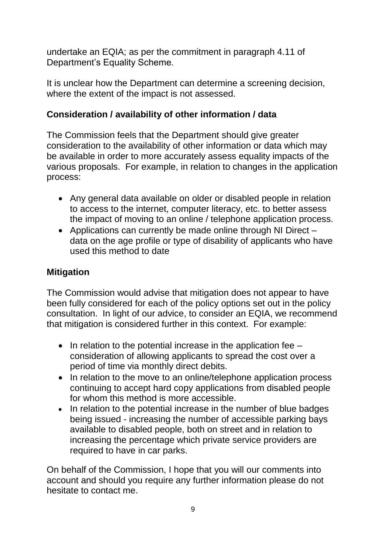undertake an EQIA; as per the commitment in paragraph 4.11 of Department's Equality Scheme.

It is unclear how the Department can determine a screening decision, where the extent of the impact is not assessed.

## **Consideration / availability of other information / data**

The Commission feels that the Department should give greater consideration to the availability of other information or data which may be available in order to more accurately assess equality impacts of the various proposals. For example, in relation to changes in the application process:

- Any general data available on older or disabled people in relation to access to the internet, computer literacy, etc. to better assess the impact of moving to an online / telephone application process.
- Applications can currently be made online through NI Direct data on the age profile or type of disability of applicants who have used this method to date

# **Mitigation**

The Commission would advise that mitigation does not appear to have been fully considered for each of the policy options set out in the policy consultation. In light of our advice, to consider an EQIA, we recommend that mitigation is considered further in this context. For example:

- $\bullet$  In relation to the potential increase in the application fee consideration of allowing applicants to spread the cost over a period of time via monthly direct debits.
- In relation to the move to an online/telephone application process continuing to accept hard copy applications from disabled people for whom this method is more accessible.
- In relation to the potential increase in the number of blue badges being issued - increasing the number of accessible parking bays available to disabled people, both on street and in relation to increasing the percentage which private service providers are required to have in car parks.

On behalf of the Commission, I hope that you will our comments into account and should you require any further information please do not hesitate to contact me.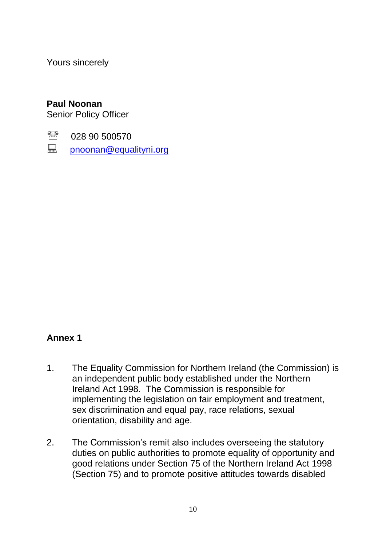Yours sincerely

#### **Paul Noonan**

Senior Policy Officer

- **图 028 90 500570**
- **E** [pnoonan@equalityni.org](mailto:pnoonan@equalityni.org)

#### **Annex 1**

- 1. The Equality Commission for Northern Ireland (the Commission) is an independent public body established under the Northern Ireland Act 1998. The Commission is responsible for implementing the legislation on fair employment and treatment, sex discrimination and equal pay, race relations, sexual orientation, disability and age.
- 2. The Commission's remit also includes overseeing the statutory duties on public authorities to promote equality of opportunity and good relations under Section 75 of the Northern Ireland Act 1998 (Section 75) and to promote positive attitudes towards disabled